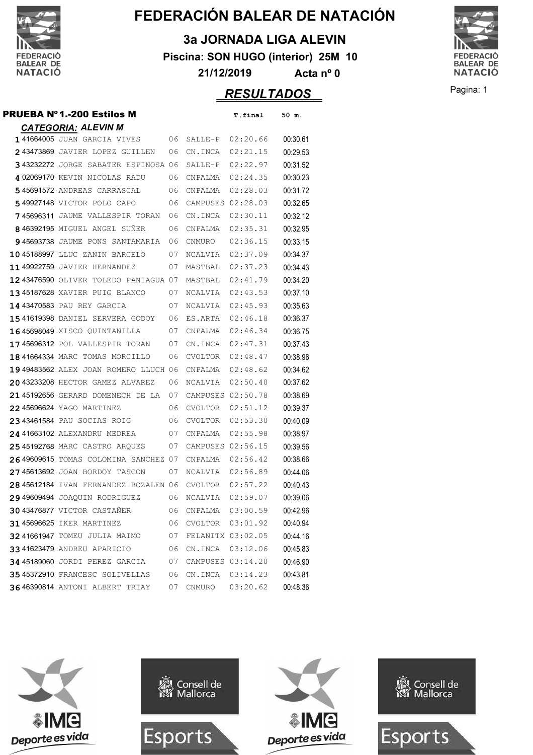

**3a JORNADA LIGA ALEVIN**

**Piscina: SON HUGO (interior) 25M 10**

**21/12/2019 Acta nº 0**



 $RESULTADOS$ 

| Pagina: 1 |
|-----------|
|-----------|

| <b>PRUEBA Nº1.-200 Estilos M</b>                |    |                      | T.final           | 50 m.    |
|-------------------------------------------------|----|----------------------|-------------------|----------|
| <b>CATEGORIA: ALEVIN M</b>                      |    |                      |                   |          |
| 141664005 JUAN GARCIA VIVES<br>06               |    |                      | SALLE-P 02:20.66  | 00:30.61 |
| 243473869 JAVIER LOPEZ GUILLEN                  | 06 |                      | CN.INCA 02:21.15  | 00:29.53 |
| 343232272 JORGE SABATER ESPINOSA 06             |    | SALLE-P              | 02:22.97          | 00:31.52 |
| 402069170 KEVIN NICOLAS RADU                    | 06 | CNPALMA              | 02:24.35          | 00:30.23 |
| 545691572 ANDREAS CARRASCAL                     | 06 | CNPALMA              | 02:28.03          | 00:31.72 |
| 549927148 VICTOR POLO CAPO                      | 06 |                      | CAMPUSES 02:28.03 | 00:32.65 |
| 745696311 JAUME VALLESPIR TORAN                 | 06 | CN.INCA              | 02:30.11          | 00:32.12 |
| 846392195 MIGUEL ANGEL SUNER                    | 06 | CNPALMA              | 02:35.31          | 00:32.95 |
| 945693738 JAUME PONS SANTAMARIA                 | 06 | CNMURO               | 02:36.15          | 00:33.15 |
| 1045188997 LLUC ZANIN BARCELO                   | 07 | NCALVIA              | 02:37.09          | 00:34.37 |
| 1149922759 JAVIER HERNANDEZ                     | 07 | MASTBAL              | 02:37.23          | 00:34.43 |
| 12 43476590 OLIVER TOLEDO PANIAGUA 07           |    | MASTBAL 02:41.79     |                   | 00:34.20 |
| 1345187628 XAVIER PUIG BLANCO                   | 07 | NCALVIA              | 02:43.53          | 00:37.10 |
| 14 43470583 PAU REY GARCIA                      | 07 | NCALVIA              | 02:45.93          | 00:35.63 |
| 1541619398 DANIEL SERVERA GODOY 06              |    | ES.ARTA              | 02:46.18          | 00:36.37 |
| 1645698049 XISCO QUINTANILLA                    | 07 | CNPALMA              | 02:46.34          | 00:36.75 |
| 1745696312 POL VALLESPIR TORAN                  | 07 |                      | CN.INCA 02:47.31  | 00:37.43 |
| 18 41664334 MARC TOMAS MORCILLO                 | 06 | CVOLTOR              | 02:48.47          | 00:38.96 |
| 19 49483562 ALEX JOAN ROMERO LLUCH 06           |    | CNPALMA              | 02:48.62          | 00:34.62 |
| 20 43233208 HECTOR GAMEZ ALVAREZ                | 06 | NCALVIA              | 02:50.40          | 00:37.62 |
| 2145192656 GERARD DOMENECH DE LA                | 07 |                      | CAMPUSES 02:50.78 | 00:38.69 |
| 22 45696624 YAGO MARTINEZ                       | 06 | CVOLTOR              | 02:51.12          | 00:39.37 |
| 2343461584 PAU SOCIAS ROIG                      | 06 | CVOLTOR              | 02:53.30          | 00:40.09 |
| 24 41663102 ALEXANDRU MEDREA                    | 07 | CNPALMA              | 02:55.98          | 00:38.97 |
| 2545192768 MARC CASTRO ARQUES                   | 07 |                      | CAMPUSES 02:56.15 | 00:39.56 |
| 26 49609615 TOMAS COLOMINA SANCHEZ 07           |    | CNPALMA              | 02:56.42          | 00:38.66 |
| 2745613692 JOAN BORDOY TASCON                   | 07 | NCALVIA              | 02:56.89          | 00:44.06 |
| 28 45612184 IVAN FERNANDEZ ROZALEN 06           |    | CVOLTOR 02:57.22     |                   | 00:40.43 |
| 29 49609494 JOAQUIN RODRIGUEZ<br>06             |    | NCALVIA              | 02:59.07          | 00:39.06 |
| 30 43476877 VICTOR CASTAÑER 06 CNPALMA 03:00.59 |    |                      |                   | 00:42.96 |
| 31 45696625 IKER MARTINEZ                       |    | 06 CVOLTOR 03:01.92  |                   | 00:40.94 |
| 32 41661947 TOMEU JULIA MAIMO                   |    | 07 FELANITX 03:02.05 |                   | 00:44.16 |
| 3341623479 ANDREU APARICIO                      |    | 06 CN.INCA 03:12.06  |                   | 00:45.83 |
| 34 45189060 JORDI PEREZ GARCIA                  | 07 | CAMPUSES 03:14.20    |                   | 00:46.90 |
| 35 45372910 FRANCESC SOLIVELLAS                 | 06 | CN.INCA 03:14.23     |                   | 00:43.81 |
| 36 46390814 ANTONI ALBERT TRIAY                 | 07 | CNMURO               | 03:20.62          | 00:48.36 |

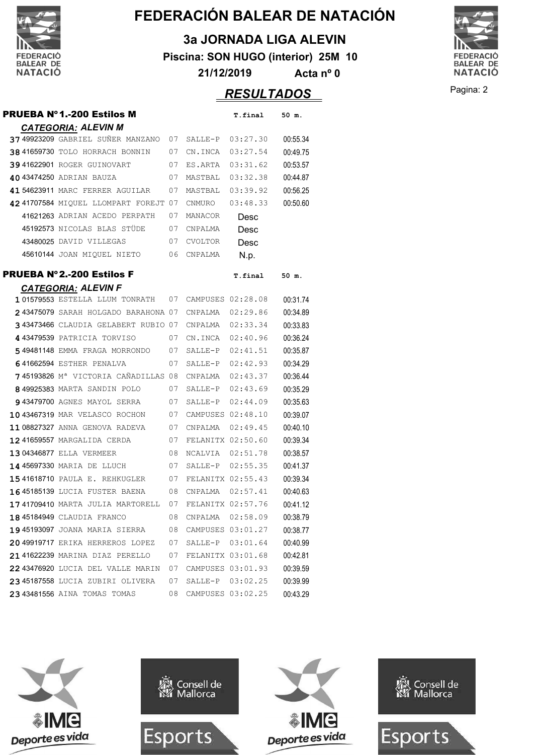

**3a JORNADA LIGA ALEVIN**

**Piscina: SON HUGO (interior) 25M 10**

**21/12/2019 Acta nº 0**

#### Pagina: 2 *RESULTADOS*

**PRUEBA Nº1.-200 Estilos M** T.final 50 m. *CATEGORIA: ALEVIN M* **37 49923209** GABRIEL SUÑER MANZANO 07 SALLE-P 03:27.30 00:55.34 **38 41659730 TOLO HORRACH BONNIN** 07 CN.INCA 03:27.54 00:49.75 <sup>41622901</sup> ROGER GUINOVART 03:31.62 07 ES.ARTA 00:53.57 <sup>43474250</sup> ADRIAN BAUZA 03:32.38 07 MASTBAL 00:44.87 <sup>54623911</sup> MARC FERRER AGUILAR 03:39.92 07 MASTBAL 00:56.25 **42 41707584 MIQUEL LLOMPART FOREJT 07 CNMURO 03:48.33 00:50.60** 41621263 ADRIAN ACEDO PERPATH 07 MANACOR Desc 45192573 NICOLAS BLAS STÜDE 07 CNPALMA Desc 43480025 DAVID VILLEGAS 07 CVOLTOR Desc 45610144 JOAN MIQUEL NIETO 06 CNPALMA N.D. **PRUEBA Nº2.-200 Estilos F** T.final 50 m. *CATEGORIA: ALEVIN F* <sup>01579553</sup> ESTELLA LLUM TONRATH 02:28.08 07 CAMPUSES 00:31.74 <sup>43475079</sup> SARAH HOLGADO BARAHONA 02:29.86 07 CNPALMA 00:34.89 43473466 CLAUDIA GELABERT RUBIO 07 CNPALMA 02:33.34 00:33.83 <sup>43479539</sup> PATRICIA TORVISO 02:40.96 07 CN.INCA 00:36.24 <sup>49481148</sup> EMMA FRAGA MORRONDO 02:41.51 07 SALLE-P 00:35.87 41662594 ESTHER PENALVA 07 SALLE-P 02:42.93 00:34.29 <sup>45193826</sup> Mª VICTORIA CAÑADILLAS 02:43.37 08 CNPALMA 00:36.44 49925383 MARTA SANDIN POLO 07 SALLE-P 02:43.69 00:35.29 43479700 AGNES MAYOL SERRA 07 SALLE-P 02:44.09 00:35.63 43467319 MAR VELASCO ROCHON 07 CAMPUSES 02:48.10 00:39.07 <sup>08827327</sup> ANNA GENOVA RADEVA 02:49.45 07 CNPALMA 00:40.10 <sup>41659557</sup> MARGALIDA CERDA 02:50.60 07 FELANITX 00:39.34 **1304346877 ELLA VERMEER** 08 NCALVIA 02:51.78 00:38.57 <sup>45697330</sup> MARIA DE LLUCH 02:55.35 07 SALLE-P 00:41.37 <sup>41618710</sup> PAULA E. REHKUGLER 02:55.43 07 FELANITX 00:39.34 <sup>45185139</sup> LUCIA FUSTER BAENA 02:57.41 08 CNPALMA 00:40.63 <sup>41709410</sup> MARTA JULIA MARTORELL 02:57.76 07 FELANITX 00:41.12 <sup>45184949</sup> CLAUDIA FRANCO 02:58.09 08 CNPALMA 00:38.79 45193097 JOANA MARIA SIERRA 08 CAMPUSES 03:01.27 00:38.77 <sup>49919717</sup> ERIKA HERREROS LOPEZ 03:01.64 07 SALLE-P 00:40.99 <sup>41622239</sup> MARINA DIAZ PERELLO 03:01.68 07 FELANITX 00:42.81 <sup>43476920</sup> LUCIA DEL VALLE MARIN 03:01.93 07 CAMPUSES 00:39.59 <sup>45187558</sup> LUCIA ZUBIRI OLIVERA 03:02.25 07 SALLE-P 00:39.99 <sup>43481556</sup> AINA TOMAS TOMAS 03:02.25 08 CAMPUSES 00:43.29



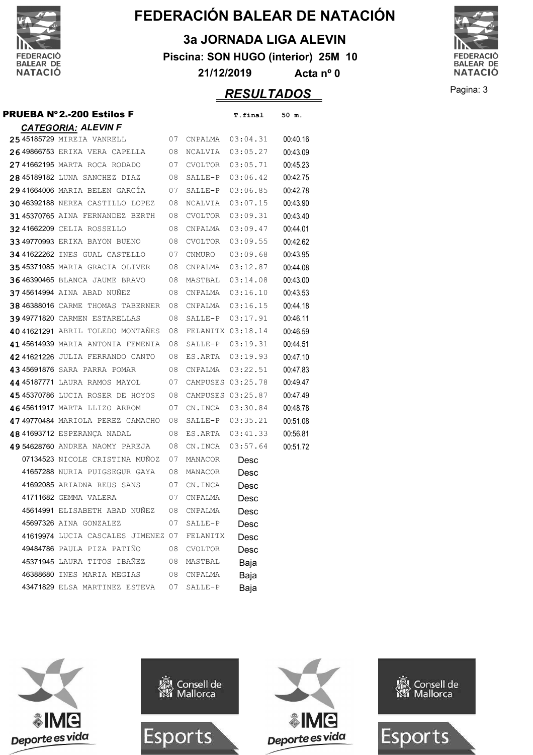

**3a JORNADA LIGA ALEVIN**

**Piscina: SON HUGO (interior) 25M 10**

**21/12/2019 Acta nº 0**

### Pagina: 3 *RESULTADOS*

**FEDERACIÓ** BALEAR DE<br>NATACIÓ

| PRUEBA Nº2.-200 Estilos F                                |      |                      | T.final           | 50 m.    |
|----------------------------------------------------------|------|----------------------|-------------------|----------|
| <b>CATEGORIA: ALEVIN F</b>                               |      |                      |                   |          |
| 25 45185729 MIREIA VANRELL                               | 07   |                      | CNPALMA  03:04.31 | 00:40.16 |
| 26 49866753 ERIKA VERA CAPELLA 08                        |      | NCALVIA 03:05.27     |                   | 00:43.09 |
| 2741662195 MARTA ROCA RODADO                             | 07   | CVOLTOR              | 03:05.71          | 00:45.23 |
| 28 45189182 LUNA SANCHEZ DIAZ                            | 08   |                      | SALLE-P 03:06.42  | 00:42.75 |
| 29 41664006 MARIA BELEN GARCIA                           | 07   | SALLE-P 03:06.85     |                   | 00:42.78 |
| 30 46392188 NEREA CASTILLO LOPEZ                         | 08   | NCALVIA              | 03:07.15          | 00:43.90 |
| 3145370765 AINA FERNANDEZ BERTH 08 CVOLTOR 03:09.31      |      |                      |                   | 00:43.40 |
| 3241662209 CELIA ROSSELLO                                | 08   | CNPALMA              | 03:09.47          | 00:44.01 |
| 3349770993 ERIKA BAYON BUENO 08                          |      | CVOLTOR              | 03:09.55          | 00:42.62 |
| 34 41622262 INES GUAL CASTELLO 07 CNMURO                 |      |                      | 03:09.68          | 00:43.95 |
| <b>35 45371085</b> MARIA GRACIA OLIVER 08 CNPALMA        |      |                      | 03:12.87          | 00:44.08 |
| <b>3646390465</b> BLANCA JAUME BRAVO 08 MASTBAL 03:14.08 |      |                      |                   | 00:43.00 |
| 3745614994 AINA ABAD NUNEZ                               | - 08 | CNPALMA 03:16.10     |                   | 00:43.53 |
| <b>38 46388016</b> CARME THOMAS TABERNER                 | - 08 |                      | CNPALMA 03:16.15  | 00:44.18 |
| <b>39 49771820 CARMEN ESTARELLAS</b>                     | 08   |                      | SALLE-P 03:17.91  | 00:46.11 |
| 40 41621291 ABRIL TOLEDO MONTAÑES                        | 08   |                      | FELANITX 03:18.14 | 00:46.59 |
| 4145614939 MARIA ANTONIA FEMENIA                         | 08   |                      | SALLE-P 03:19.31  | 00:44.51 |
| 42 41621226 JULIA FERRANDO CANTO 08                      |      | ES.ARTA 03:19.93     |                   | 00:47.10 |
| 43 45691876 SARA PARRA POMAR                             | 08   |                      | CNPALMA 03:22.51  | 00:47.83 |
| 44 45187771 LAURA RAMOS MAYOL                            |      | 07 CAMPUSES 03:25.78 |                   | 00:49.47 |
| 4545370786 LUCIA ROSER DE HOYOS 08                       |      | CAMPUSES 03:25.87    |                   | 00:47.49 |
| 4645611917 MARTA LLIZO ARROM                             | 07   |                      | CN.INCA 03:30.84  | 00:48.78 |
| 4749770484 MARIOLA PEREZ CAMACHO                         | - 08 |                      | SALLE-P 03:35.21  | 00:51.08 |
| 48 41693712 ESPERANÇA NADAL                              | 08   |                      | ES.ARTA 03:41.33  | 00:56.81 |
| 49 54628760 ANDREA NAOMY PAREJA                          | 08   |                      | CN.INCA 03:57.64  | 00:51.72 |
| 07134523 NICOLE CRISTINA MUÑOZ                           | 07   | MANACOR              | Desc              |          |
| 41657288 NURIA PUIGSEGUR GAYA                            | 08   | MANACOR              | Desc              |          |
| 41692085 ARIADNA REUS SANS 07 CN.INCA                    |      |                      | Desc              |          |
| 41711682 GEMMA VALERA                                    | 07   | CNPALMA              | Desc              |          |
| 45614991 ELISABETH ABAD NUÑEZ 08 CNPALMA                 |      |                      | Desc              |          |
| 45697326 AINA GONZALEZ                                   |      | 07 SALLE-P           | Desc              |          |
| 41619974 LUCIA CASCALES JIMENEZ 07 FELANITX              |      |                      | Desc              |          |
| 49484786 PAULA PIZA PATIÑO                               |      | 08 CVOLTOR           | Desc              |          |
| 45371945 LAURA TITOS IBAÑEZ 08 MASTBAL                   |      |                      | Baja              |          |
| 46388680 INES MARIA MEGIAS 08 CNPALMA                    |      |                      | Baja              |          |
| 43471829 ELSA MARTINEZ ESTEVA 07 SALLE-P                 |      |                      | Baja              |          |







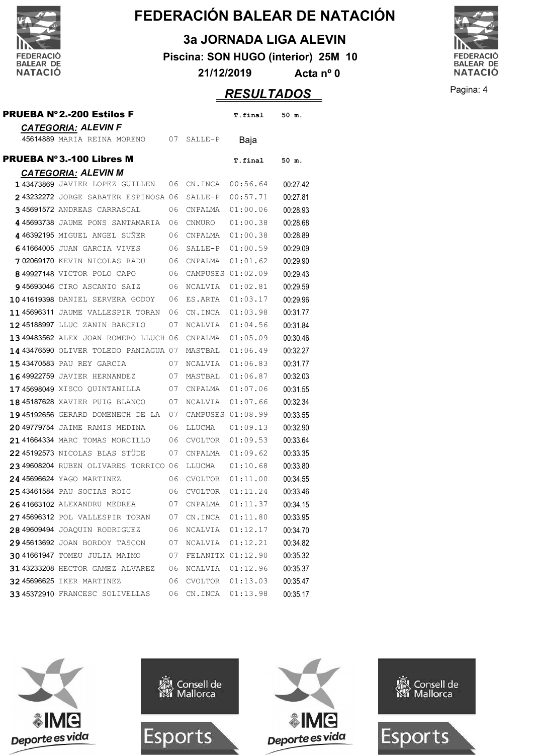

**3a JORNADA LIGA ALEVIN**

**Piscina: SON HUGO (interior) 25M 10**

**21/12/2019 Acta nº 0**



|                                                      |         | <b>RESULTADOS</b> |          |
|------------------------------------------------------|---------|-------------------|----------|
| <b>PRUEBA Nº2.-200 Estilos F</b>                     |         | T.final           | 50 m.    |
| <b>CATEGORIA: ALEVIN F</b>                           |         |                   |          |
| 45614889 MARIA REINA MORENO<br>07                    | SALLE-P | Baja              |          |
| <b>PRUEBA Nº3.-100 Libres M</b>                      |         | T.final           | $50$ m.  |
| <b>CATEGORIA: ALEVIN M</b>                           |         |                   |          |
| 143473869 JAVIER LOPEZ GUILLEN 06 CN.INCA            |         | 00:56.64          | 00:27.42 |
| 243232272 JORGE SABATER ESPINOSA 06 SALLE-P 00:57.71 |         |                   | 00:27.81 |
| 345691572 ANDREAS CARRASCAL<br>06 CNPALMA            |         | 01:00.06          | 00:28.93 |
| A AECO2720 INTERIOR CANDIMATION OF CUMBING 61.00 20  |         |                   | 00.0000  |

|  | I 434/3009 JAVIEK LUPPA GUILLEN       | U O | UN.INUA           | 00:50.64 | UU.ZT.42 |
|--|---------------------------------------|-----|-------------------|----------|----------|
|  | 243232272 JORGE SABATER ESPINOSA 06   |     | SALLE-P           | 00:57.71 | 00:27.81 |
|  | 345691572 ANDREAS CARRASCAL           | 06  | CNPALMA           | 01:00.06 | 00:28.93 |
|  | 445693738 JAUME PONS SANTAMARIA       | 06  | CNMURO            | 01:00.38 | 00:28.68 |
|  | 446392195 MIGUEL ANGEL SUÑER          | 06  | CNPALMA           | 01:00.38 | 00:28.89 |
|  | 641664005 JUAN GARCIA VIVES           | 06  | SALLE-P           | 01:00.59 | 00:29.09 |
|  | 702069170 KEVIN NICOLAS RADU          | 06  | CNPALMA           | 01:01.62 | 00:29.90 |
|  | 849927148 VICTOR POLO CAPO            | 06  | CAMPUSES 01:02.09 |          | 00:29.43 |
|  | 945693046 CIRO ASCANIO SAIZ           | 06  | NCALVIA           | 01:02.81 | 00:29.59 |
|  | 1041619398 DANIEL SERVERA GODOY       | 06  | ES.ARTA           | 01:03.17 | 00:29.96 |
|  | 1145696311 JAUME VALLESPIR TORAN      | 06  | CN.INCA           | 01:03.98 | 00:31.77 |
|  | 12 45188997 LLUC ZANIN BARCELO        | 07  | NCALVIA           | 01:04.56 | 00:31.84 |
|  | 13 49483562 ALEX JOAN ROMERO LLUCH 06 |     | CNPALMA           | 01:05.09 | 00:30.46 |
|  | 14 43476590 OLIVER TOLEDO PANIAGUA 07 |     | MASTBAL           | 01:06.49 | 00:32.27 |
|  | 15 43470583 PAU REY GARCIA            | 07  | NCALVIA           | 01:06.83 | 00:31.77 |
|  | 16 49922759 JAVIER HERNANDEZ          | 07  | MASTBAL           | 01:06.87 | 00:32.03 |
|  | 1745698049 XISCO QUINTANILLA          | 07  | CNPALMA           | 01:07.06 | 00:31.55 |
|  | 18 45187628 XAVIER PUIG BLANCO        | 07  | NCALVIA           | 01:07.66 | 00:32.34 |
|  | 1945192656 GERARD DOMENECH DE LA      | 07  | CAMPUSES 01:08.99 |          | 00:33.55 |
|  | 20 49779754 JAIME RAMIS MEDINA        | 06  | LLUCMA            | 01:09.13 | 00:32.90 |
|  | 21 41664334 MARC TOMAS MORCILLO       | 06  | CVOLTOR           | 01:09.53 | 00:33.64 |
|  | 2245192573 NICOLAS BLAS STÜDE         | 07  | CNPALMA           | 01:09.62 | 00:33.35 |
|  | 23 49608204 RUBEN OLIVARES TORRICO 06 |     | LLUCMA            | 01:10.68 | 00:33.80 |
|  | 24 45696624 YAGO MARTINEZ             | 06  | CVOLTOR           | 01:11.00 | 00:34.55 |
|  | 2543461584 PAU SOCIAS ROIG            | 06  | CVOLTOR           | 01:11.24 | 00:33.46 |
|  | 26 41663102 ALEXANDRU MEDREA          | 07  | CNPALMA           | 01:11.37 | 00:34.15 |
|  | 2745696312 POL VALLESPIR TORAN        | 07  | CN.INCA           | 01:11.80 | 00:33.95 |
|  | 28 49609494 JOAQUIN RODRIGUEZ         | 06  | NCALVIA           | 01:12.17 | 00:34.70 |
|  | 2945613692 JOAN BORDOY TASCON         | 07  | NCALVIA           | 01:12.21 | 00:34.82 |
|  | 30 41661947 TOMEU JULIA MAIMO         | 07  | FELANITX 01:12.90 |          | 00:35.32 |
|  | 31 43233208 HECTOR GAMEZ ALVAREZ      | 06  | NCALVIA           | 01:12.96 | 00:35.37 |
|  | <b>32 45696625 IKER MARTINEZ</b>      | 06  | CVOLTOR           | 01:13.03 | 00:35.47 |
|  | 3345372910 FRANCESC SOLIVELLAS        | 06  | CN.INCA           | 01:13.98 | 00:35.17 |

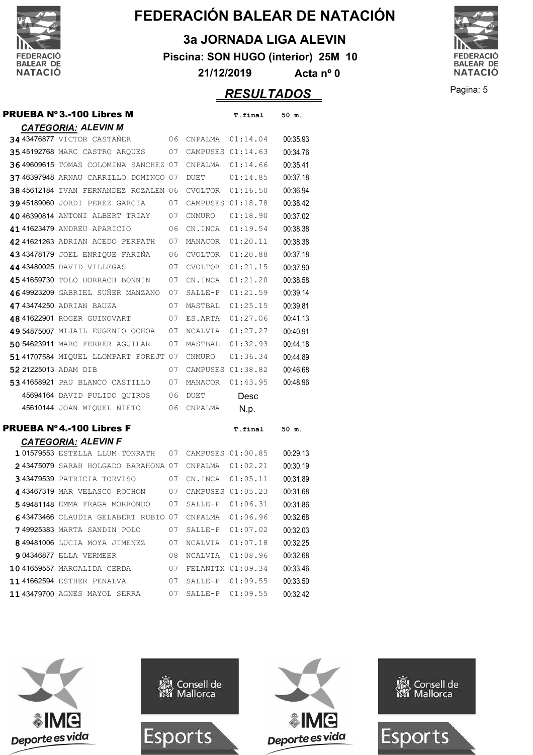

**3a JORNADA LIGA ALEVIN**

**Piscina: SON HUGO (interior) 25M 10**

**21/12/2019 Acta nº 0**



**RESULTADOS** Pagina: 5

|                      | <b>PRUEBA Nº3.-100 Libres M</b>              |    |                   | T.final           | 50 m.    |
|----------------------|----------------------------------------------|----|-------------------|-------------------|----------|
|                      | <b>CATEGORIA: ALEVIN M</b>                   |    |                   |                   |          |
|                      | 34 43476877 VICTOR CASTAÑER                  | 06 | CNPALMA           | 01:14.04          | 00:35.93 |
|                      | <b>3545192768 MARC CASTRO ARQUES</b>         | 07 | CAMPUSES 01:14.63 |                   | 00:34.76 |
|                      | 36 49609615 TOMAS COLOMINA SANCHEZ 07        |    | CNPALMA           | 01:14.66          | 00:35.41 |
|                      | 3746397948 ARNAU CARRILLO DOMINGO 07         |    | <b>DUET</b>       | 01:14.85          | 00:37.18 |
|                      | <b>38 45612184</b> IVAN FERNANDEZ ROZALEN 06 |    | CVOLTOR           | 01:16.50          | 00:36.94 |
|                      | 3945189060 JORDI PEREZ GARCIA                | 07 | CAMPUSES 01:18.78 |                   | 00:38.42 |
|                      | 40 46390814 ANTONI ALBERT TRIAY              | 07 | CNMURO            | 01:18.90          | 00:37.02 |
|                      | 41 41623479 ANDREU APARICIO                  | 06 | CN.INCA           | 01:19.54          | 00:38.38 |
|                      | 42 41621263 ADRIAN ACEDO PERPATH             | 07 | MANACOR           | 01:20.11          | 00:38.38 |
|                      | 4343478179 JOEL ENRIQUE FARIÑA               | 06 | CVOLTOR           | 01:20.88          | 00:37.18 |
|                      | 44 43480025 DAVID VILLEGAS                   | 07 | CVOLTOR           | 01:21.15          | 00:37.90 |
|                      | 4541659730 TOLO HORRACH BONNIN               | 07 | CN.INCA           | 01:21.20          | 00:38.58 |
|                      | 46 49923209 GABRIEL SUÑER MANZANO            | 07 | SALLE-P           | 01:21.59          | 00:39.14 |
|                      | 47 43474250 ADRIAN BAUZA                     | 07 | MASTBAL           | 01:25.15          | 00:39.81 |
|                      | 48 41622901 ROGER GUINOVART                  | 07 | ES.ARTA           | 01:27.06          | 00:41.13 |
|                      | 49 54875007 MIJAIL EUGENIO OCHOA             | 07 | NCALVIA           | 01:27.27          | 00:40.91 |
|                      | 50 54623911 MARC FERRER AGUILAR              | 07 | MASTBAL           | 01:32.93          | 00:44.18 |
|                      | 51 41707584 MIOUEL LLOMPART FOREJT 07        |    | CNMURO            | 01:36.34          | 00:44.89 |
| 52 21225013 ADAM DIB |                                              | 07 | CAMPUSES 01:38.82 |                   | 00:46.68 |
|                      | 5341658921 PAU BLANCO CASTILLO               | 07 | MANACOR           | 01:43.95          | 00:48.96 |
|                      | 45694164 DAVID PULIDO QUIROS                 | 06 | <b>DUET</b>       | Desc              |          |
|                      | 45610144 JOAN MIQUEL NIETO                   | 06 | CNPALMA           | N.p.              |          |
|                      | <b>PRUEBA Nº4.-100 Libres F</b>              |    |                   | T.final           | 50 m.    |
|                      | <b>CATEGORIA: ALEVIN F</b>                   |    |                   |                   |          |
|                      | 101579553 ESTELLA LLUM TONRATH               | 07 | CAMPUSES 01:00.85 |                   | 00:29.13 |
|                      | 243475079 SARAH HOLGADO BARAHONA 07          |    | CNPALMA           | 01:02.21          | 00:30.19 |
|                      | 343479539 PATRICIA TORVISO                   | 07 | CN.INCA           | 01:05.11          | 00:31.89 |
|                      | 443467319 MAR VELASCO ROCHON                 | 07 | CAMPUSES 01:05.23 |                   | 00:31.68 |
|                      | 549481148 EMMA FRAGA MORRONDO                | 07 | SALLE-P           | 01:06.31          | 00:31.86 |
|                      | 643473466 CLAUDIA GELABERT RUBIO 07          |    | CNPALMA           | 01:06.96          | 00:32.68 |
|                      | 749925383 MARTA SANDIN POLO                  | 07 | SALLE-P           | 01:07.02          | 00:32.03 |
|                      | 849481006 LUCIA MOYA JIMENEZ                 | 07 | NCALVIA 01:07.18  |                   | 00:32.25 |
|                      | <b>9 04346877 ELLA VERMEER</b>               | 08 | NCALVIA           | 01:08.96          | 00:32.68 |
|                      | 1041659557 MARGALIDA CERDA                   | 07 |                   | FELANITX 01:09.34 | 00:33.46 |
|                      | 11 41662594 ESTHER PENALVA                   | 07 | SALLE-P           | 01:09.55          | 00:33.50 |
|                      | 1143479700 AGNES MAYOL SERRA                 | 07 |                   | SALLE-P 01:09.55  | 00:32.42 |

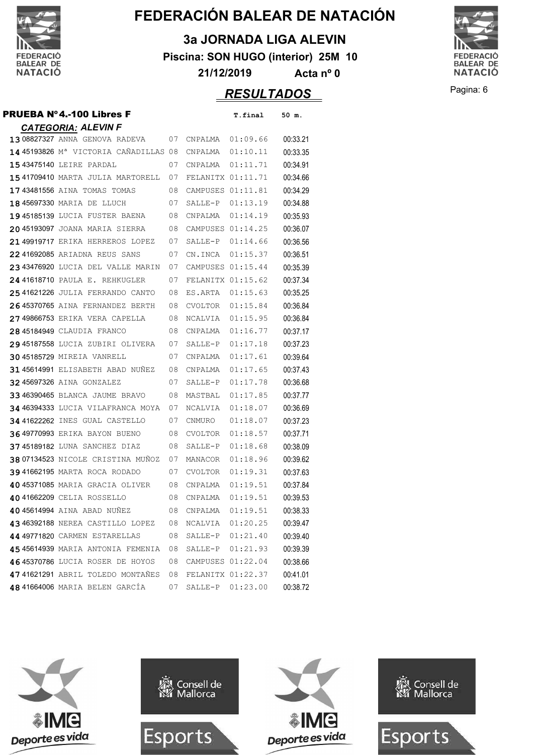

**3a JORNADA LIGA ALEVIN**

**Piscina: SON HUGO (interior) 25M 10**

**21/12/2019 Acta nº 0**

#### Pagina: 6 *RESULTADOS*

**FEDERACIÓ** BALEAR DE<br>NATACIÓ

| <b>CATEGORIA: ALEVIN F</b>            |    |                   |          |          |
|---------------------------------------|----|-------------------|----------|----------|
| 1308827327 ANNA GENOVA RADEVA         | 07 | CNPALMA           | 01:09.66 | 00:33.21 |
| 14 45193826 Mª VICTORIA CAÑADILLAS 08 |    | CNPALMA           | 01:10.11 | 00:33.35 |
| 15 43475140 LEIRE PARDAL              | 07 | CNPALMA           | 01:11.71 | 00:34.91 |
| 15 41709410 MARTA JULIA MARTORELL     | 07 | FELANITX 01:11.71 |          | 00:34.66 |
| 1743481556 AINA TOMAS TOMAS           | 08 | CAMPUSES 01:11.81 |          | 00:34.29 |
| 18 45697330 MARIA DE LLUCH            | 07 | SALLE-P           | 01:13.19 | 00:34.88 |
| 1945185139 LUCIA FUSTER BAENA         | 08 | CNPALMA           | 01:14.19 | 00:35.93 |
| 2045193097 JOANA MARIA SIERRA         | 08 | CAMPUSES 01:14.25 |          | 00:36.07 |
| 21 49919717 ERIKA HERREROS LOPEZ      | 07 | SALLE-P           | 01:14.66 | 00:36.56 |
| 2241692085 ARIADNA REUS SANS          | 07 | CN.INCA           | 01:15.37 | 00:36.51 |
| 2343476920 LUCIA DEL VALLE MARIN      | 07 | CAMPUSES 01:15.44 |          | 00:35.39 |
| 24 41618710 PAULA E. REHKUGLER        | 07 | FELANITX 01:15.62 |          | 00:37.34 |
| 2541621226 JULIA FERRANDO CANTO       | 08 | ES.ARTA           | 01:15.63 | 00:35.25 |
| 2645370765 AINA FERNANDEZ BERTH       | 08 | CVOLTOR           | 01:15.84 | 00:36.84 |
| 27 49866753 ERIKA VERA CAPELLA        | 08 | NCALVIA           | 01:15.95 | 00:36.84 |
| 28 45184949 CLAUDIA FRANCO            | 08 | CNPALMA           | 01:16.77 | 00:37.17 |
| 2945187558 LUCIA ZUBIRI OLIVERA       | 07 | SALLE-P           | 01:17.18 | 00:37.23 |
| 30 45185729 MIREIA VANRELL            | 07 | CNPALMA           | 01:17.61 | 00:39.64 |
| 3145614991 ELISABETH ABAD NUNEZ       | 08 | CNPALMA           | 01:17.65 | 00:37.43 |
| 32 45697326 AINA GONZALEZ             | 07 | SALLE-P           | 01:17.78 | 00:36.68 |
| 3346390465 BLANCA JAUME BRAVO         | 08 | MASTBAL           | 01:17.85 | 00:37.77 |
| 34 46394333 LUCIA VILAFRANCA MOYA     | 07 | NCALVIA           | 01:18.07 | 00:36.69 |
| 34 41622262 INES GUAL CASTELLO        | 07 | CNMURO            | 01:18.07 | 00:37.23 |
| <b>3649770993 ERIKA BAYON BUENO</b>   | 08 | <b>CVOLTOR</b>    | 01:18.57 | 00:37.71 |
| 3745189182 LUNA SANCHEZ DIAZ          | 08 | SALLE-P           | 01:18.68 | 00:38.09 |
| 38 07134523 NICOLE CRISTINA MUÑOZ     | 07 | MANACOR           | 01:18.96 | 00:39.62 |
| 3941662195 MARTA ROCA RODADO          | 07 | <b>CVOLTOR</b>    | 01:19.31 | 00:37.63 |
| 40 45371085 MARIA GRACIA OLIVER       | 08 | CNPALMA           | 01:19.51 | 00:37.84 |
| 40 41662209 CELIA ROSSELLO            | 08 | CNPALMA           | 01:19.51 | 00:39.53 |
| 40 45614994 AINA ABAD NUNEZ           | 08 | CNPALMA           | 01:19.51 | 00:38.33 |
| 43 46392188 NEREA CASTILLO LOPEZ      | 08 | NCALVIA           | 01:20.25 | 00:39.47 |
| 44 49771820 CARMEN ESTARELLAS         | 08 | SALLE-P           | 01:21.40 | 00:39.40 |
| 45 45614939 MARIA ANTONIA FEMENIA     | 08 | SALLE-P           | 01:21.93 | 00:39.39 |

4645370786 LUCIA ROSER DE HOYOS 08 CAMPUSES 01:22.04 00:38.66 47 41621291 ABRIL TOLEDO MONTAÑES 08 FELANITX 01:22.37 00:41.01 41664006 MARIA BELEN GARCÍA 07 SALLE-P 01:23.00 00:38.72

PRUEBA Nº4.-100 Libres F T.final 50 m.

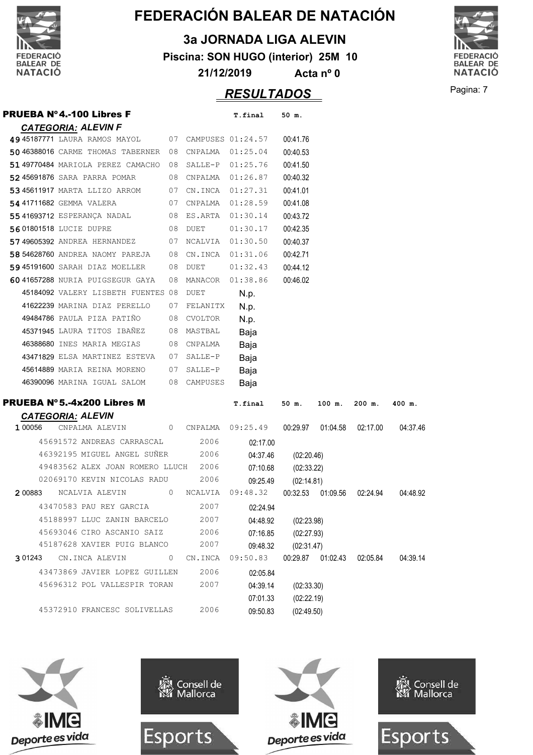

**3a JORNADA LIGA ALEVIN**

**Piscina: SON HUGO (interior) 25M 10**

**21/12/2019 Acta nº 0**

### Pagina: 7 *RESULTADOS*



|                                                    |    |                     | REJULIADUJ        |            |          |                              |          |
|----------------------------------------------------|----|---------------------|-------------------|------------|----------|------------------------------|----------|
| <b>PRUEBA N°4.-100 Libres F</b>                    |    |                     | T.final           | 50 m.      |          |                              |          |
| <b>CATEGORIA: ALEVIN F</b>                         |    |                     |                   |            |          |                              |          |
| 49 45187771 LAURA RAMOS MAYOL 07 CAMPUSES 01:24.57 |    |                     |                   | 00:41.76   |          |                              |          |
| 50 46388016 CARME THOMAS TABERNER 08               |    |                     | CNPALMA  01:25.04 | 00:40.53   |          |                              |          |
| 5149770484 MARIOLA PEREZ CAMACHO                   | 08 | SALLE-P 01:25.76    |                   | 00:41.50   |          |                              |          |
| 5245691876 SARA PARRA POMAR                        |    | 08 CNPALMA          | 01:26.87          | 00:40.32   |          |                              |          |
| 53 45611917 MARTA LLIZO ARROM                      |    | 07 CN.INCA 01:27.31 |                   | 00:41.01   |          |                              |          |
| 54 41711682 GEMMA VALERA                           |    | 07 CNPALMA          | 01:28.59          | 00:41.08   |          |                              |          |
| 5541693712 ESPERANÇA NADAL                         |    | 08 ES.ARTA          | 01:30.14          | 00:43.72   |          |                              |          |
| 5601801518 LUCIE DUPRE                             |    | 08 DUET             | 01:30.17          | 00:42.35   |          |                              |          |
| 57 49605392 ANDREA HERNANDEZ                       |    | 07 NCALVIA          | 01:30.50          | 00:40.37   |          |                              |          |
| 58 54628760 ANDREA NAOMY PAREJA                    |    | 08 CN.INCA 01:31.06 |                   | 00:42.71   |          |                              |          |
| 59 45191600 SARAH DIAZ MOELLER                     | 08 | DUET                | 01:32.43          | 00:44.12   |          |                              |          |
| 6041657288 NURIA PUIGSEGUR GAYA                    | 08 | MANACOR             | 01:38.86          | 00:46.02   |          |                              |          |
| 45184092 VALERY LISBETH FUENTES 08                 |    | DUET                | N.p.              |            |          |                              |          |
| 41622239 MARINA DIAZ PERELLO                       | 07 | FELANITX            | N.p.              |            |          |                              |          |
| 49484786 PAULA PIZA PATIÑO                         | 08 | CVOLTOR             | N.p.              |            |          |                              |          |
| 45371945 LAURA TITOS IBAÑEZ                        | 08 | MASTBAL             | Baja              |            |          |                              |          |
| 46388680 INES MARIA MEGIAS                         | 08 | CNPALMA             | Baja              |            |          |                              |          |
| 43471829 ELSA MARTINEZ ESTEVA                      | 07 | SALLE-P             | Baja              |            |          |                              |          |
| 45614889 MARIA REINA MORENO                        | 07 | SALLE-P             | Baja              |            |          |                              |          |
| 46390096 MARINA IGUAL SALOM                        |    | 08 CAMPUSES         | Baja              |            |          |                              |          |
|                                                    |    |                     |                   |            |          |                              |          |
| <b>PRUEBA Nº 5.-4x200 Libres M</b>                 |    |                     | T.final           | 50 m.      | $100$ m. | $200$ m.                     | 400 m.   |
| <b>CATEGORIA: ALEVIN</b>                           |    |                     |                   |            |          |                              |          |
| 1 00056<br>CNPALMA ALEVIN                          | 0  | CNPALMA             | 09:25.49          | 00:29.97   | 01:04.58 | 02:17.00                     | 04:37.46 |
| 45691572 ANDREAS CARRASCAL                         |    | 2006                | 02:17.00          |            |          |                              |          |
| 46392195 MIGUEL ANGEL SUÑER                        |    | 2006                | 04:37.46          | (02:20.46) |          |                              |          |
| 49483562 ALEX JOAN ROMERO LLUCH                    |    | 2006                | 07:10.68          | (02:33.22) |          |                              |          |
| 02069170 KEVIN NICOLAS RADU                        |    | 2006                | 09:25.49          | (02:14.81) |          |                              |          |
| 2 00883<br>NCALVIA ALEVIN                          | 0  | NCALVIA             | 09:48.32          | 00:32.53   | 01:09.56 | 02:24.94                     | 04:48.92 |
| 43470583 PAU REY GARCIA                            |    | 2007                | 02:24.94          |            |          |                              |          |
| 45188997 LLUC ZANIN BARCELO                        |    | 2007                | 04:48.92          | (02:23.98) |          |                              |          |
| 45693046 CIRO ASCANIO SAIZ                         |    | 2006                | 07:16.85          | (02:27.93) |          |                              |          |
| 45187628 XAVIER PUIG BLANCO                        |    | 2007                | 09:48.32          | (02:31.47) |          |                              |          |
| 3 01243<br>CN.INCA ALEVIN                          | 0  | CN.INCA             | 09:50.83          |            |          | 00:29.87  01:02.43  02:05.84 | 04:39.14 |
| 43473869 JAVIER LOPEZ GUILLEN                      |    | 2006                | 02:05.84          |            |          |                              |          |
| 45696312 POL VALLESPIR TORAN                       |    | 2007                | 04:39.14          | (02:33.30) |          |                              |          |
|                                                    |    |                     | 07:01.33          | (02:22.19) |          |                              |          |
| 45372910 FRANCESC SOLIVELLAS                       |    | 2006                | 09:50.83          | (02:49.50) |          |                              |          |







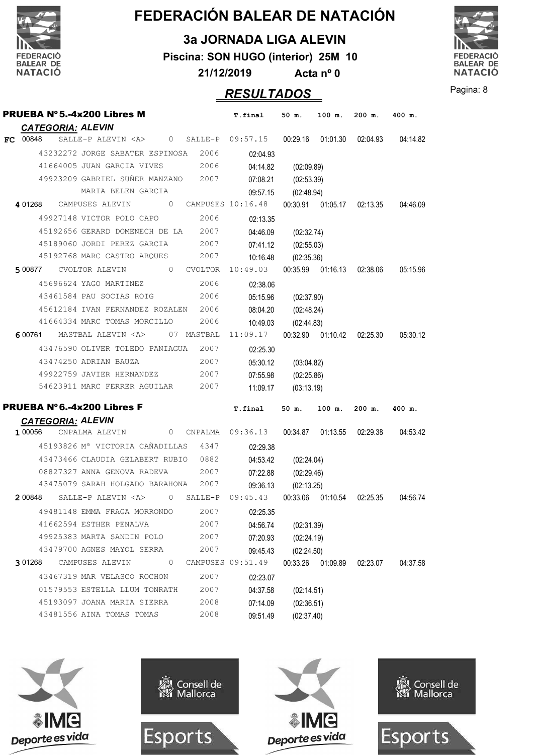

**3a JORNADA LIGA ALEVIN**

**Piscina: SON HUGO (interior) 25M 10**

**21/12/2019 Acta nº 0**



### Pagina: 8 *RESULTADOS*

| PRUEBA Nº 5.-4x200 Libres M                                                                                  | <b>T.final</b>       | 50 m.               | 100 m.            | $200$ m.                     | 400 m.   |
|--------------------------------------------------------------------------------------------------------------|----------------------|---------------------|-------------------|------------------------------|----------|
| <b>CATEGORIA: ALEVIN</b>                                                                                     |                      |                     |                   |                              |          |
| SALLE-P ALEVIN <a> 0 SALLE-P 09:57.15 00:29.16 01:01.30 02:04.93<br/>FC 00848</a>                            |                      |                     |                   |                              | 04:14.82 |
| 43232272 JORGE SABATER ESPINOSA 2006                                                                         | 02:04.93             |                     |                   |                              |          |
| 41664005 JUAN GARCIA VIVES 2006                                                                              | 04:14.82             | (02:09.89)          |                   |                              |          |
| 49923209 GABRIEL SUÑER MANZANO 2007                                                                          | 07:08.21             | (02:53.39)          |                   |                              |          |
| MARIA BELEN GARCIA                                                                                           | 09:57.15             | (02:48.94)          |                   |                              |          |
| 401268 CAMPUSES ALEVIN                                                                                       |                      |                     |                   |                              |          |
| 49927148 VICTOR POLO CAPO 2006                                                                               | 02:13.35             |                     |                   |                              |          |
| 45192656 GERARD DOMENECH DE LA 2007                                                                          |                      | 04:46.09 (02:32.74) |                   |                              |          |
| 2007<br>45189060 JORDI PEREZ GARCIA                                                                          |                      | 07:41.12 (02:55.03) |                   |                              |          |
| 45192768 MARC CASTRO ARQUES 2007                                                                             |                      | 10:16.48 (02:35.36) |                   |                              |          |
| 500877 CVOLTOR ALEVIN 0 CVOLTOR 10:49.03 00:35.99 01:16.13 02:38.06                                          |                      |                     |                   |                              | 05:15.96 |
| 45696624 YAGO MARTINEZ 2006                                                                                  | 02:38.06             |                     |                   |                              |          |
| 2006<br>43461584 PAU SOCIAS ROIG                                                                             |                      | 05:15.96 (02:37.90) |                   |                              |          |
| 45612184 IVAN FERNANDEZ ROZALEN 2006                                                                         |                      | 08:04.20 (02:48.24) |                   |                              |          |
| 41664334 MARC TOMAS MORCILLO 2006                                                                            |                      | 10:49.03 (02:44.83) |                   |                              |          |
| 600761 MASTBAL ALEVIN <a> 07 MASTBAL 11:09.17 00:32.90 01:10.42 02:25.30</a>                                 |                      |                     |                   |                              | 05:30.12 |
| 43476590 OLIVER TOLEDO PANIAGUA 2007                                                                         | 02:25.30             |                     |                   |                              |          |
| 43474250 ADRIAN BAUZA<br>2007                                                                                |                      | 05:30.12 (03:04.82) |                   |                              |          |
| 49922759 JAVIER HERNANDEZ 2007                                                                               |                      | 07:55.98 (02:25.86) |                   |                              |          |
| 54623911 MARC FERRER AGUILAR 2007                                                                            |                      | 11:09.17 (03:13.19) |                   |                              |          |
| <b>PRUEBA Nº 6.-4x200 Libres F</b>                                                                           |                      |                     |                   |                              |          |
|                                                                                                              | T.final 50 m. 100 m. |                     |                   | $200$ m. $400$ m.            |          |
| <b>CATEGORIA: ALEVIN</b><br>CNPALMA ALEVIN 0 CNPALMA 09:36.13 00:34.87 01:13.55 02:29.38 04:53.42<br>1 00056 |                      |                     |                   |                              |          |
| 45193826 M <sup>a</sup> VICTORIA CAÑADILLAS 4347                                                             | 02:29.38             |                     |                   |                              |          |
| 43473466 CLAUDIA GELABERT RUBIO 0882                                                                         | 04:53.42             | (02:24.04)          |                   |                              |          |
| 08827327 ANNA GENOVA RADEVA                                                                                  | 2007                 | 07:22.88 (02:29.46) |                   |                              |          |
| 43475079 SARAH HOLGADO BARAHONA 2007                                                                         | 09:36.13             | (02:13.25)          |                   |                              |          |
| $200848$ SALLE-P ALEVIN <a> 0 SALLE-P 09:45.43</a>                                                           |                      |                     |                   | 00:33.06  01:10.54  02:25.35 | 04:56.74 |
| 49481148 EMMA FRAGA MORRONDO 2007 02:25.35                                                                   |                      |                     |                   |                              |          |
| 41662594 ESTHER PENALVA                                                                                      | 2007<br>04:56.74     | (02:31.39)          |                   |                              |          |
| 49925383 MARTA SANDIN POLO                                                                                   | 2007<br>07:20.93     | (02:24.19)          |                   |                              |          |
| 43479700 AGNES MAYOL SERRA                                                                                   | 2007<br>09:45.43     | (02:24.50)          |                   |                              |          |
| $\circ$<br>3 01268<br>CAMPUSES ALEVIN                                                                        | CAMPUSES 09:51.49    |                     | 00:33.26 01:09.89 | 02:23.07                     | 04:37.58 |
| 43467319 MAR VELASCO ROCHON                                                                                  | 2007<br>02:23.07     |                     |                   |                              |          |
| 01579553 ESTELLA LLUM TONRATH                                                                                | 2007<br>04:37.58     | (02:14.51)          |                   |                              |          |
| 45193097 JOANA MARIA SIERRA                                                                                  | 2008<br>07:14.09     | (02:36.51)          |                   |                              |          |
| 43481556 AINA TOMAS TOMAS                                                                                    | 2008<br>09:51.49     | (02:37.40)          |                   |                              |          |